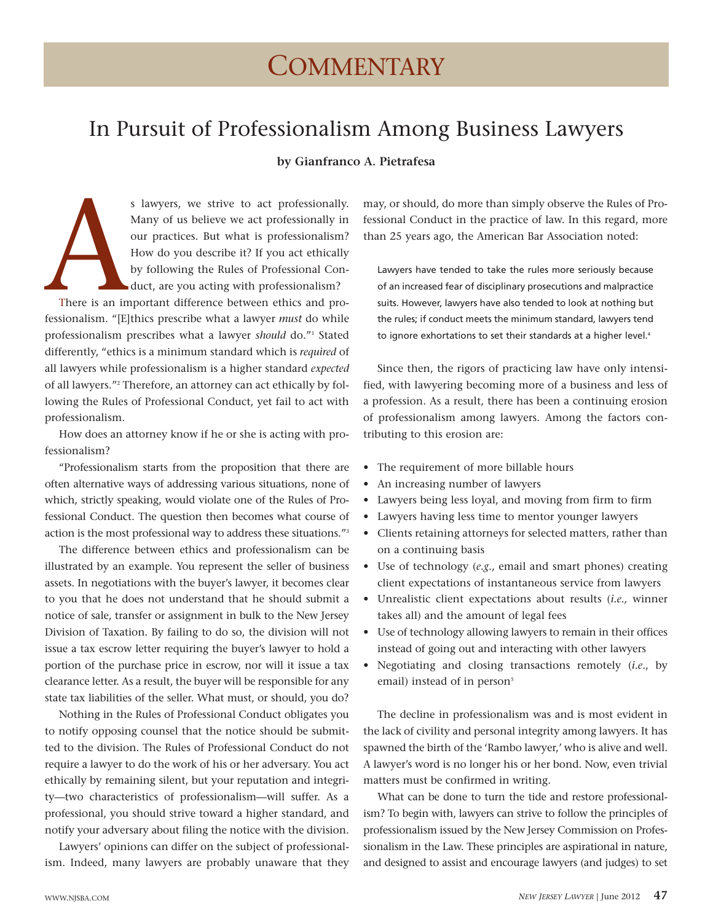# In Pursuit of Professionalism Among Business Lawyers

# **by Gianfranco A. Pietrafesa**

There is an impressionalism. "[E] s lawyers, we strive to act professionally. Many of us believe we act professionally in our practices. But what is professionalism? How do you describe it? If you act ethically by following the Rules of Professional Conduct, are you acting with professionalism?

There is an important difference between ethics and professionalism. "[E]thics prescribe what a lawyer *must* do while professionalism prescribes what a lawyer *should* do."<sup>1</sup> Stated differently, "ethics is a minimum standard which is *required* of all lawyers while professionalism is a higher standard *expected* of all lawyers."<sup>2</sup> Therefore, an attorney can act ethically by following the Rules of Professional Conduct, yet fail to act with professionalism.

How does an attorney know if he or she is acting with professionalism?

"Professionalism starts from the proposition that there are often alternative ways of addressing various situations, none of which, strictly speaking, would violate one of the Rules of Professional Conduct. The question then becomes what course of action is the most professional way to address these situations."<sup>3</sup>

The difference between ethics and professionalism can be illustrated by an example. You represent the seller of business assets. In negotiations with the buyer's lawyer, it becomes clear to you that he does not understand that he should submit a notice of sale, transfer or assignment in bulk to the New Jersey Division of Taxation. By failing to do so, the division will not issue a tax escrow letter requiring the buyer's lawyer to hold a portion of the purchase price in escrow, nor will it issue a tax clearance letter. As a result, the buyer will be responsible for any state tax liabilities of the seller. What must, or should, you do?

Nothing in the Rules of Professional Conduct obligates you to notify opposing counsel that the notice should be submitted to the division. The Rules of Professional Conduct do not require a lawyer to do the work of his or her adversary. You act ethically by remaining silent, but your reputation and integrity—two characteristics of professionalism—will suffer. As a professional, you should strive toward a higher standard, and notify your adversary about filing the notice with the division.

Lawyers' opinions can differ on the subject of professionalism. Indeed, many lawyers are probably unaware that they may, or should, do more than simply observe the Rules of Professional Conduct in the practice of law. In this regard, more than 25 years ago, the American Bar Association noted:

Lawyers have tended to take the rules more seriously because of an increased fear of disciplinary prosecutions and malpractice suits. However, lawyers have also tended to look at nothing but the rules; if conduct meets the minimum standard, lawyers tend to ignore exhortations to set their standards at a higher level.<sup>4</sup>

Since then, the rigors of practicing law have only intensified, with lawyering becoming more of a business and less of a profession. As a result, there has been a continuing erosion of professionalism among lawyers. Among the factors contributing to this erosion are:

- The requirement of more billable hours
- An increasing number of lawyers
- Lawyers being less loyal, and moving from firm to firm
- Lawyers having less time to mentor younger lawyers
- Clients retaining attorneys for selected matters, rather than on a continuing basis
- Use of technology (*e.g*., email and smart phones) creating client expectations of instantaneous service from lawyers
- Unrealistic client expectations about results (*i.e.,* winner takes all) and the amount of legal fees
- Use of technology allowing lawyers to remain in their offices instead of going out and interacting with other lawyers
- Negotiating and closing transactions remotely (*i.e*., by email) instead of in person<sup>5</sup>

The decline in professionalism was and is most evident in the lack of civility and personal integrity among lawyers. It has spawned the birth of the 'Rambo lawyer,' who is alive and well. A lawyer's word is no longer his or her bond. Now, even trivial matters must be confirmed in writing.

What can be done to turn the tide and restore professionalism? To begin with, lawyers can strive to follow the principles of professionalism issued by the New Jersey Commission on Professionalism in the Law. These principles are aspirational in nature, and designed to assist and encourage lawyers (and judges) to set